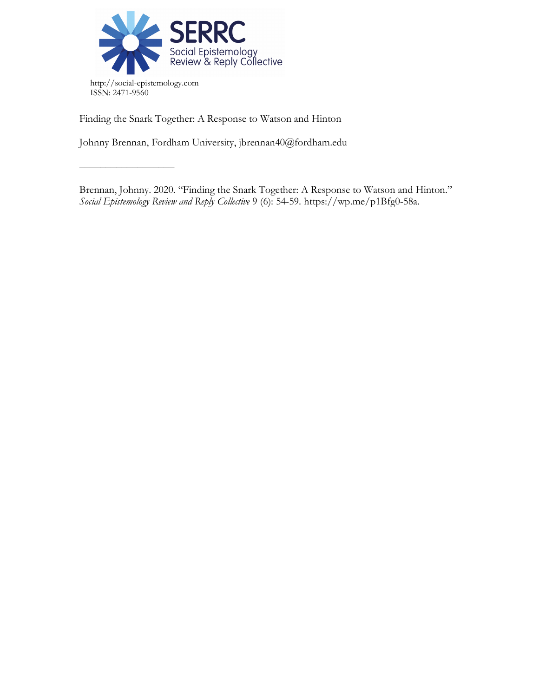

––––––––––––––––––

Finding the Snark Together: A Response to Watson and Hinton

Johnny Brennan, Fordham University, jbrennan40@fordham.edu

Brennan, Johnny. 2020. "Finding the Snark Together: A Response to Watson and Hinton." *Social Epistemology Review and Reply Collective* 9 (6): 54-59. https://wp.me/p1Bfg0-58a.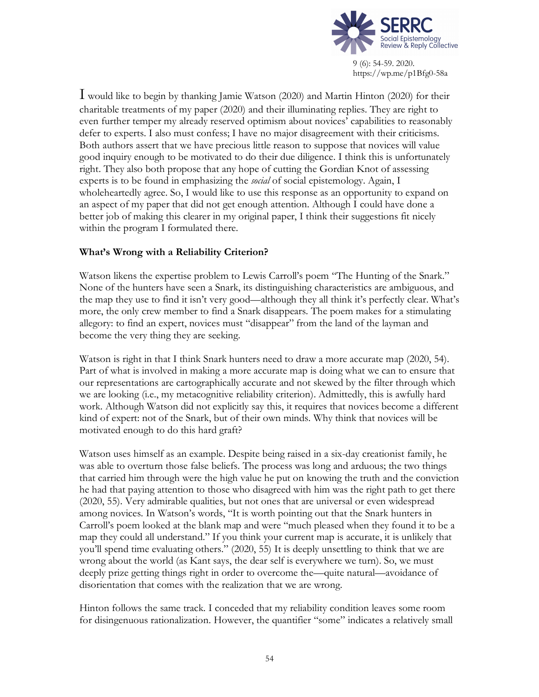

I would like to begin by thanking Jamie Watson (2020) and Martin Hinton (2020) for their charitable treatments of my paper (2020) and their illuminating replies. They are right to even further temper my already reserved optimism about novices' capabilities to reasonably defer to experts. I also must confess; I have no major disagreement with their criticisms. Both authors assert that we have precious little reason to suppose that novices will value good inquiry enough to be motivated to do their due diligence. I think this is unfortunately right. They also both propose that any hope of cutting the Gordian Knot of assessing experts is to be found in emphasizing the *social* of social epistemology. Again, I wholeheartedly agree. So, I would like to use this response as an opportunity to expand on an aspect of my paper that did not get enough attention. Although I could have done a better job of making this clearer in my original paper, I think their suggestions fit nicely within the program I formulated there.

## **What's Wrong with a Reliability Criterion?**

Watson likens the expertise problem to Lewis Carroll's poem "The Hunting of the Snark." None of the hunters have seen a Snark, its distinguishing characteristics are ambiguous, and the map they use to find it isn't very good—although they all think it's perfectly clear. What's more, the only crew member to find a Snark disappears. The poem makes for a stimulating allegory: to find an expert, novices must "disappear" from the land of the layman and become the very thing they are seeking.

Watson is right in that I think Snark hunters need to draw a more accurate map (2020, 54). Part of what is involved in making a more accurate map is doing what we can to ensure that our representations are cartographically accurate and not skewed by the filter through which we are looking (i.e., my metacognitive reliability criterion). Admittedly, this is awfully hard work. Although Watson did not explicitly say this, it requires that novices become a different kind of expert: not of the Snark, but of their own minds. Why think that novices will be motivated enough to do this hard graft?

Watson uses himself as an example. Despite being raised in a six-day creationist family, he was able to overturn those false beliefs. The process was long and arduous; the two things that carried him through were the high value he put on knowing the truth and the conviction he had that paying attention to those who disagreed with him was the right path to get there (2020, 55). Very admirable qualities, but not ones that are universal or even widespread among novices. In Watson's words, "It is worth pointing out that the Snark hunters in Carroll's poem looked at the blank map and were "much pleased when they found it to be a map they could all understand." If you think your current map is accurate, it is unlikely that you'll spend time evaluating others." (2020, 55) It is deeply unsettling to think that we are wrong about the world (as Kant says, the dear self is everywhere we turn). So, we must deeply prize getting things right in order to overcome the—quite natural—avoidance of disorientation that comes with the realization that we are wrong.

Hinton follows the same track. I conceded that my reliability condition leaves some room for disingenuous rationalization. However, the quantifier "some" indicates a relatively small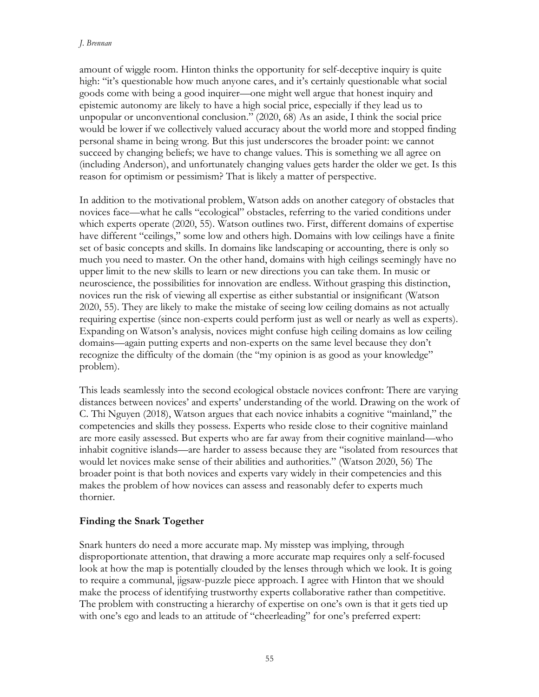#### *J. Brennan*

amount of wiggle room. Hinton thinks the opportunity for self-deceptive inquiry is quite high: "it's questionable how much anyone cares, and it's certainly questionable what social goods come with being a good inquirer—one might well argue that honest inquiry and epistemic autonomy are likely to have a high social price, especially if they lead us to unpopular or unconventional conclusion." (2020, 68) As an aside, I think the social price would be lower if we collectively valued accuracy about the world more and stopped finding personal shame in being wrong. But this just underscores the broader point: we cannot succeed by changing beliefs; we have to change values. This is something we all agree on (including Anderson), and unfortunately changing values gets harder the older we get. Is this reason for optimism or pessimism? That is likely a matter of perspective.

In addition to the motivational problem, Watson adds on another category of obstacles that novices face—what he calls "ecological" obstacles, referring to the varied conditions under which experts operate (2020, 55). Watson outlines two. First, different domains of expertise have different "ceilings," some low and others high. Domains with low ceilings have a finite set of basic concepts and skills. In domains like landscaping or accounting, there is only so much you need to master. On the other hand, domains with high ceilings seemingly have no upper limit to the new skills to learn or new directions you can take them. In music or neuroscience, the possibilities for innovation are endless. Without grasping this distinction, novices run the risk of viewing all expertise as either substantial or insignificant (Watson 2020, 55). They are likely to make the mistake of seeing low ceiling domains as not actually requiring expertise (since non-experts could perform just as well or nearly as well as experts). Expanding on Watson's analysis, novices might confuse high ceiling domains as low ceiling domains—again putting experts and non-experts on the same level because they don't recognize the difficulty of the domain (the "my opinion is as good as your knowledge" problem).

This leads seamlessly into the second ecological obstacle novices confront: There are varying distances between novices' and experts' understanding of the world. Drawing on the work of C. Thi Nguyen (2018), Watson argues that each novice inhabits a cognitive "mainland," the competencies and skills they possess. Experts who reside close to their cognitive mainland are more easily assessed. But experts who are far away from their cognitive mainland—who inhabit cognitive islands—are harder to assess because they are "isolated from resources that would let novices make sense of their abilities and authorities." (Watson 2020, 56) The broader point is that both novices and experts vary widely in their competencies and this makes the problem of how novices can assess and reasonably defer to experts much thornier.

## **Finding the Snark Together**

Snark hunters do need a more accurate map. My misstep was implying, through disproportionate attention, that drawing a more accurate map requires only a self-focused look at how the map is potentially clouded by the lenses through which we look. It is going to require a communal, jigsaw-puzzle piece approach. I agree with Hinton that we should make the process of identifying trustworthy experts collaborative rather than competitive. The problem with constructing a hierarchy of expertise on one's own is that it gets tied up with one's ego and leads to an attitude of "cheerleading" for one's preferred expert: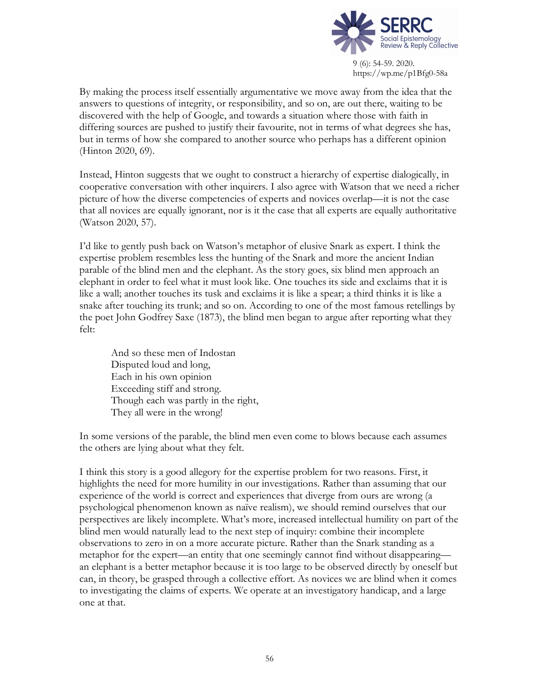

By making the process itself essentially argumentative we move away from the idea that the answers to questions of integrity, or responsibility, and so on, are out there, waiting to be discovered with the help of Google, and towards a situation where those with faith in differing sources are pushed to justify their favourite, not in terms of what degrees she has, but in terms of how she compared to another source who perhaps has a different opinion (Hinton 2020, 69).

Instead, Hinton suggests that we ought to construct a hierarchy of expertise dialogically, in cooperative conversation with other inquirers. I also agree with Watson that we need a richer picture of how the diverse competencies of experts and novices overlap—it is not the case that all novices are equally ignorant, nor is it the case that all experts are equally authoritative (Watson 2020, 57).

I'd like to gently push back on Watson's metaphor of elusive Snark as expert. I think the expertise problem resembles less the hunting of the Snark and more the ancient Indian parable of the blind men and the elephant. As the story goes, six blind men approach an elephant in order to feel what it must look like. One touches its side and exclaims that it is like a wall; another touches its tusk and exclaims it is like a spear; a third thinks it is like a snake after touching its trunk; and so on. According to one of the most famous retellings by the poet John Godfrey Saxe (1873), the blind men began to argue after reporting what they felt:

And so these men of Indostan Disputed loud and long, Each in his own opinion Exceeding stiff and strong. Though each was partly in the right, They all were in the wrong!

In some versions of the parable, the blind men even come to blows because each assumes the others are lying about what they felt.

I think this story is a good allegory for the expertise problem for two reasons. First, it highlights the need for more humility in our investigations. Rather than assuming that our experience of the world is correct and experiences that diverge from ours are wrong (a psychological phenomenon known as naïve realism), we should remind ourselves that our perspectives are likely incomplete. What's more, increased intellectual humility on part of the blind men would naturally lead to the next step of inquiry: combine their incomplete observations to zero in on a more accurate picture. Rather than the Snark standing as a metaphor for the expert—an entity that one seemingly cannot find without disappearing an elephant is a better metaphor because it is too large to be observed directly by oneself but can, in theory, be grasped through a collective effort. As novices we are blind when it comes to investigating the claims of experts. We operate at an investigatory handicap, and a large one at that.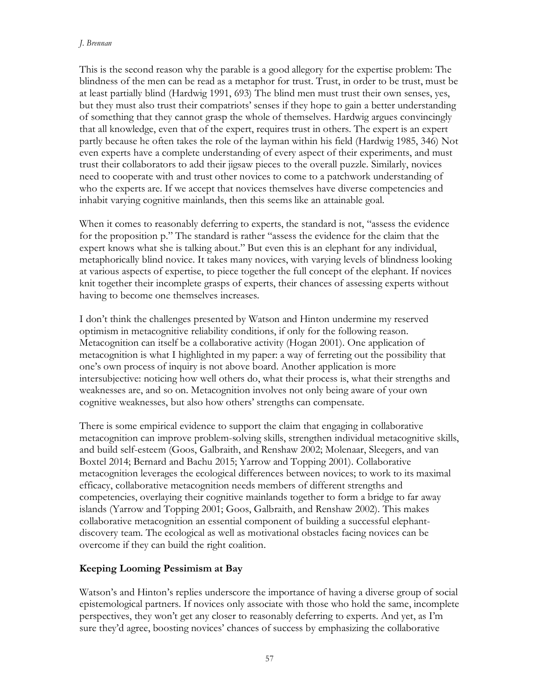#### *J. Brennan*

This is the second reason why the parable is a good allegory for the expertise problem: The blindness of the men can be read as a metaphor for trust. Trust, in order to be trust, must be at least partially blind (Hardwig 1991, 693) The blind men must trust their own senses, yes, but they must also trust their compatriots' senses if they hope to gain a better understanding of something that they cannot grasp the whole of themselves. Hardwig argues convincingly that all knowledge, even that of the expert, requires trust in others. The expert is an expert partly because he often takes the role of the layman within his field (Hardwig 1985, 346) Not even experts have a complete understanding of every aspect of their experiments, and must trust their collaborators to add their jigsaw pieces to the overall puzzle. Similarly, novices need to cooperate with and trust other novices to come to a patchwork understanding of who the experts are. If we accept that novices themselves have diverse competencies and inhabit varying cognitive mainlands, then this seems like an attainable goal.

When it comes to reasonably deferring to experts, the standard is not, "assess the evidence for the proposition p." The standard is rather "assess the evidence for the claim that the expert knows what she is talking about." But even this is an elephant for any individual, metaphorically blind novice. It takes many novices, with varying levels of blindness looking at various aspects of expertise, to piece together the full concept of the elephant. If novices knit together their incomplete grasps of experts, their chances of assessing experts without having to become one themselves increases.

I don't think the challenges presented by Watson and Hinton undermine my reserved optimism in metacognitive reliability conditions, if only for the following reason. Metacognition can itself be a collaborative activity (Hogan 2001). One application of metacognition is what I highlighted in my paper: a way of ferreting out the possibility that one's own process of inquiry is not above board. Another application is more intersubjective: noticing how well others do, what their process is, what their strengths and weaknesses are, and so on. Metacognition involves not only being aware of your own cognitive weaknesses, but also how others' strengths can compensate.

There is some empirical evidence to support the claim that engaging in collaborative metacognition can improve problem-solving skills, strengthen individual metacognitive skills, and build self-esteem (Goos, Galbraith, and Renshaw 2002; Molenaar, Sleegers, and van Boxtel 2014; Bernard and Bachu 2015; Yarrow and Topping 2001). Collaborative metacognition leverages the ecological differences between novices; to work to its maximal efficacy, collaborative metacognition needs members of different strengths and competencies, overlaying their cognitive mainlands together to form a bridge to far away islands (Yarrow and Topping 2001; Goos, Galbraith, and Renshaw 2002). This makes collaborative metacognition an essential component of building a successful elephantdiscovery team. The ecological as well as motivational obstacles facing novices can be overcome if they can build the right coalition.

# **Keeping Looming Pessimism at Bay**

Watson's and Hinton's replies underscore the importance of having a diverse group of social epistemological partners. If novices only associate with those who hold the same, incomplete perspectives, they won't get any closer to reasonably deferring to experts. And yet, as I'm sure they'd agree, boosting novices' chances of success by emphasizing the collaborative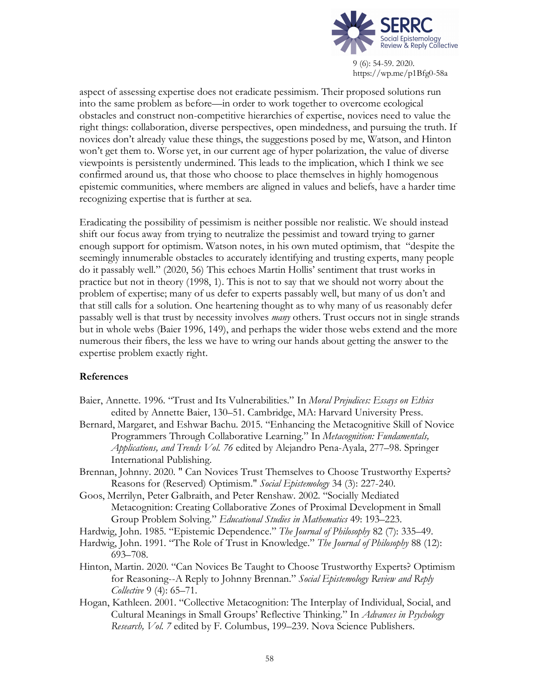

aspect of assessing expertise does not eradicate pessimism. Their proposed solutions run into the same problem as before—in order to work together to overcome ecological obstacles and construct non-competitive hierarchies of expertise, novices need to value the right things: collaboration, diverse perspectives, open mindedness, and pursuing the truth. If novices don't already value these things, the suggestions posed by me, Watson, and Hinton won't get them to. Worse yet, in our current age of hyper polarization, the value of diverse viewpoints is persistently undermined. This leads to the implication, which I think we see confirmed around us, that those who choose to place themselves in highly homogenous epistemic communities, where members are aligned in values and beliefs, have a harder time recognizing expertise that is further at sea.

Eradicating the possibility of pessimism is neither possible nor realistic. We should instead shift our focus away from trying to neutralize the pessimist and toward trying to garner enough support for optimism. Watson notes, in his own muted optimism, that "despite the seemingly innumerable obstacles to accurately identifying and trusting experts, many people do it passably well." (2020, 56) This echoes Martin Hollis' sentiment that trust works in practice but not in theory (1998, 1). This is not to say that we should not worry about the problem of expertise; many of us defer to experts passably well, but many of us don't and that still calls for a solution. One heartening thought as to why many of us reasonably defer passably well is that trust by necessity involves *many* others. Trust occurs not in single strands but in whole webs (Baier 1996, 149), and perhaps the wider those webs extend and the more numerous their fibers, the less we have to wring our hands about getting the answer to the expertise problem exactly right.

## **References**

- Baier, Annette. 1996. "Trust and Its Vulnerabilities." In *Moral Prejudices: Essays on Ethics* edited by Annette Baier, 130–51. Cambridge, MA: Harvard University Press.
- Bernard, Margaret, and Eshwar Bachu. 2015. "Enhancing the Metacognitive Skill of Novice Programmers Through Collaborative Learning." In *Metacognition: Fundamentals, Applications, and Trends Vol. 76* edited by Alejandro Pena-Ayala, 277–98. Springer International Publishing.
- Brennan, Johnny. 2020. " Can Novices Trust Themselves to Choose Trustworthy Experts? Reasons for (Reserved) Optimism." *Social Epistemology* 34 (3): 227-240.
- Goos, Merrilyn, Peter Galbraith, and Peter Renshaw. 2002. "Socially Mediated Metacognition: Creating Collaborative Zones of Proximal Development in Small Group Problem Solving." *Educational Studies in Mathematics* 49: 193–223.

Hardwig, John. 1985. "Epistemic Dependence." *The Journal of Philosophy* 82 (7): 335–49.

- Hardwig, John. 1991. "The Role of Trust in Knowledge." *The Journal of Philosophy* 88 (12): 693–708.
- Hinton, Martin. 2020. "Can Novices Be Taught to Choose Trustworthy Experts? Optimism for Reasoning--A Reply to Johnny Brennan." *Social Epistemology Review and Reply Collective* 9 (4): 65–71.
- Hogan, Kathleen. 2001. "Collective Metacognition: The Interplay of Individual, Social, and Cultural Meanings in Small Groups' Reflective Thinking." In *Advances in Psychology Research, Vol. 7* edited by F. Columbus, 199–239. Nova Science Publishers.